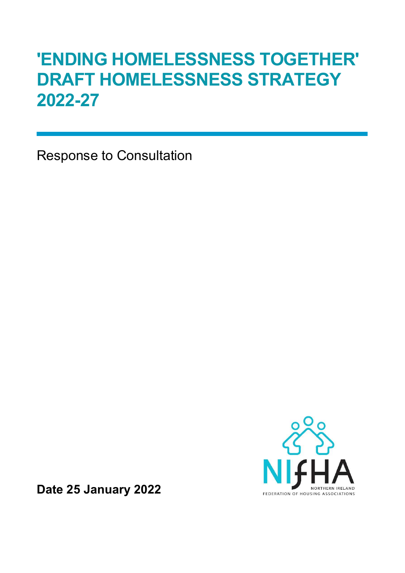# 'ENDING HOMELESSNESS TOGETHER' DRAFT HOMELESSNESS STRATEGY 2022-27

Response to Consultation



Date 25 January 2022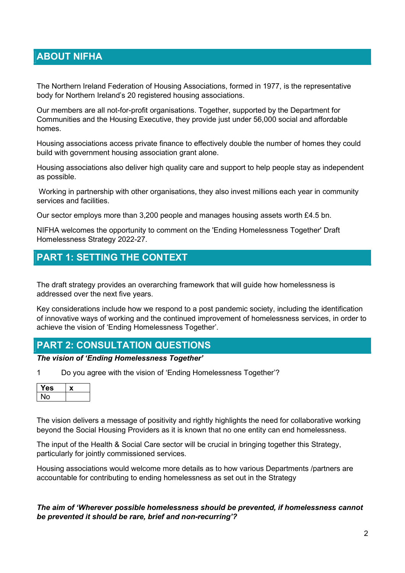## ABOUT NIFHA

The Northern Ireland Federation of Housing Associations, formed in 1977, is the representative body for Northern Ireland's 20 registered housing associations.

Our members are all not-for-profit organisations. Together, supported by the Department for Communities and the Housing Executive, they provide just under 56,000 social and affordable homes.

Housing associations access private finance to effectively double the number of homes they could build with government housing association grant alone.

Housing associations also deliver high quality care and support to help people stay as independent as possible.

 Working in partnership with other organisations, they also invest millions each year in community services and facilities.

Our sector employs more than 3,200 people and manages housing assets worth £4.5 bn.

NIFHA welcomes the opportunity to comment on the 'Ending Homelessness Together' Draft Homelessness Strategy 2022-27.

## PART 1: SETTING THE CONTEXT

The draft strategy provides an overarching framework that will guide how homelessness is addressed over the next five years.

Key considerations include how we respond to a post pandemic society, including the identification of innovative ways of working and the continued improvement of homelessness services, in order to achieve the vision of 'Ending Homelessness Together'.

### PART 2: CONSULTATION QUESTIONS

#### The vision of 'Ending Homelessness Together'

1 Do you agree with the vision of 'Ending Homelessness Together'?

| es |  |
|----|--|
|    |  |

The vision delivers a message of positivity and rightly highlights the need for collaborative working beyond the Social Housing Providers as it is known that no one entity can end homelessness.

The input of the Health & Social Care sector will be crucial in bringing together this Strategy, particularly for jointly commissioned services.

Housing associations would welcome more details as to how various Departments /partners are accountable for contributing to ending homelessness as set out in the Strategy

#### The aim of 'Wherever possible homelessness should be prevented, if homelessness cannot be prevented it should be rare, brief and non-recurring'?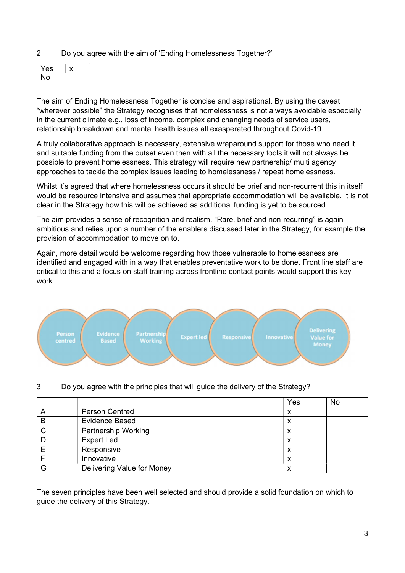2 Do you agree with the aim of 'Ending Homelessness Together?'

| 'S |  |
|----|--|
|    |  |

The aim of Ending Homelessness Together is concise and aspirational. By using the caveat "wherever possible" the Strategy recognises that homelessness is not always avoidable especially in the current climate e.g., loss of income, complex and changing needs of service users, relationship breakdown and mental health issues all exasperated throughout Covid-19.

A truly collaborative approach is necessary, extensive wraparound support for those who need it and suitable funding from the outset even then with all the necessary tools it will not always be possible to prevent homelessness. This strategy will require new partnership/ multi agency approaches to tackle the complex issues leading to homelessness / repeat homelessness.

Whilst it's agreed that where homelessness occurs it should be brief and non-recurrent this in itself would be resource intensive and assumes that appropriate accommodation will be available. It is not clear in the Strategy how this will be achieved as additional funding is yet to be sourced.

The aim provides a sense of recognition and realism. "Rare, brief and non-recurring" is again ambitious and relies upon a number of the enablers discussed later in the Strategy, for example the provision of accommodation to move on to.

Again, more detail would be welcome regarding how those vulnerable to homelessness are identified and engaged with in a way that enables preventative work to be done. Front line staff are critical to this and a focus on staff training across frontline contact points would support this key work.



3 Do you agree with the principles that will guide the delivery of the Strategy?

|   |                            | Yes | No |
|---|----------------------------|-----|----|
|   | <b>Person Centred</b>      |     |    |
| B | <b>Evidence Based</b>      |     |    |
|   | <b>Partnership Working</b> | x   |    |
|   | <b>Expert Led</b>          | х   |    |
|   | Responsive                 | x   |    |
|   | Innovative                 | x   |    |
|   | Delivering Value for Money |     |    |

The seven principles have been well selected and should provide a solid foundation on which to guide the delivery of this Strategy.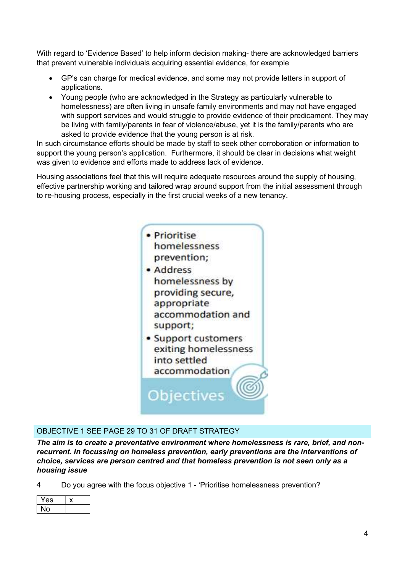With regard to 'Evidence Based' to help inform decision making- there are acknowledged barriers that prevent vulnerable individuals acquiring essential evidence, for example

- GP's can charge for medical evidence, and some may not provide letters in support of applications.
- Young people (who are acknowledged in the Strategy as particularly vulnerable to homelessness) are often living in unsafe family environments and may not have engaged with support services and would struggle to provide evidence of their predicament. They may be living with family/parents in fear of violence/abuse, yet it is the family/parents who are asked to provide evidence that the young person is at risk.

In such circumstance efforts should be made by staff to seek other corroboration or information to support the young person's application. Furthermore, it should be clear in decisions what weight was given to evidence and efforts made to address lack of evidence.

Housing associations feel that this will require adequate resources around the supply of housing, effective partnership working and tailored wrap around support from the initial assessment through to re-housing process, especially in the first crucial weeks of a new tenancy.



#### OBJECTIVE 1 SEE PAGE 29 TO 31 OF DRAFT STRATEGY

The aim is to create a preventative environment where homelessness is rare, brief, and nonrecurrent. In focussing on homeless prevention, early preventions are the interventions of choice, services are person centred and that homeless prevention is not seen only as a housing issue

4 Do you agree with the focus objective 1 - 'Prioritise homelessness prevention?

| .s |  |
|----|--|
|    |  |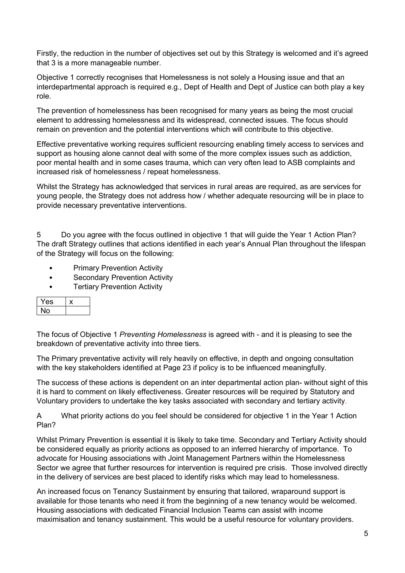Firstly, the reduction in the number of objectives set out by this Strategy is welcomed and it's agreed that 3 is a more manageable number.

Objective 1 correctly recognises that Homelessness is not solely a Housing issue and that an interdepartmental approach is required e.g., Dept of Health and Dept of Justice can both play a key role.

The prevention of homelessness has been recognised for many years as being the most crucial element to addressing homelessness and its widespread, connected issues. The focus should remain on prevention and the potential interventions which will contribute to this objective.

Effective preventative working requires sufficient resourcing enabling timely access to services and support as housing alone cannot deal with some of the more complex issues such as addiction, poor mental health and in some cases trauma, which can very often lead to ASB complaints and increased risk of homelessness / repeat homelessness.

Whilst the Strategy has acknowledged that services in rural areas are required, as are services for young people, the Strategy does not address how / whether adequate resourcing will be in place to provide necessary preventative interventions.

5 Do you agree with the focus outlined in objective 1 that will guide the Year 1 Action Plan? The draft Strategy outlines that actions identified in each year's Annual Plan throughout the lifespan of the Strategy will focus on the following:

- **Primary Prevention Activity**
- **Secondary Prevention Activity**
- **Tertiary Prevention Activity**

| es |  |
|----|--|
| О  |  |

The focus of Objective 1 Preventing Homelessness is agreed with - and it is pleasing to see the breakdown of preventative activity into three tiers.

The Primary preventative activity will rely heavily on effective, in depth and ongoing consultation with the key stakeholders identified at Page 23 if policy is to be influenced meaningfully.

The success of these actions is dependent on an inter departmental action plan- without sight of this it is hard to comment on likely effectiveness. Greater resources will be required by Statutory and Voluntary providers to undertake the key tasks associated with secondary and tertiary activity.

A What priority actions do you feel should be considered for objective 1 in the Year 1 Action Plan?

Whilst Primary Prevention is essential it is likely to take time. Secondary and Tertiary Activity should be considered equally as priority actions as opposed to an inferred hierarchy of importance. To advocate for Housing associations with Joint Management Partners within the Homelessness Sector we agree that further resources for intervention is required pre crisis. Those involved directly in the delivery of services are best placed to identify risks which may lead to homelessness.

An increased focus on Tenancy Sustainment by ensuring that tailored, wraparound support is available for those tenants who need it from the beginning of a new tenancy would be welcomed. Housing associations with dedicated Financial Inclusion Teams can assist with income maximisation and tenancy sustainment. This would be a useful resource for voluntary providers.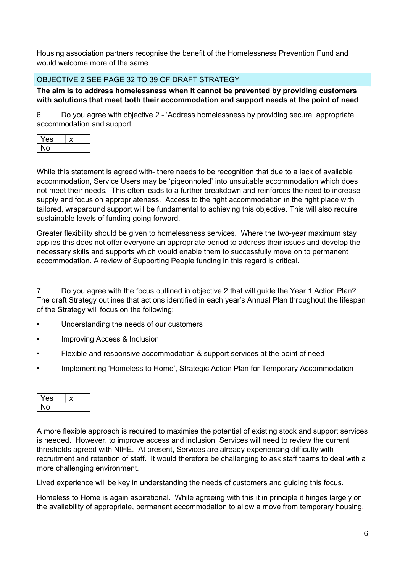Housing association partners recognise the benefit of the Homelessness Prevention Fund and would welcome more of the same.

#### OBJECTIVE 2 SEE PAGE 32 TO 39 OF DRAFT STRATEGY

The aim is to address homelessness when it cannot be prevented by providing customers with solutions that meet both their accommodation and support needs at the point of need.

6 Do you agree with objective 2 - 'Address homelessness by providing secure, appropriate accommodation and support.

| es |  |
|----|--|
|    |  |

While this statement is agreed with- there needs to be recognition that due to a lack of available accommodation, Service Users may be 'pigeonholed' into unsuitable accommodation which does not meet their needs. This often leads to a further breakdown and reinforces the need to increase supply and focus on appropriateness. Access to the right accommodation in the right place with tailored, wraparound support will be fundamental to achieving this objective. This will also require sustainable levels of funding going forward.

Greater flexibility should be given to homelessness services. Where the two-year maximum stay applies this does not offer everyone an appropriate period to address their issues and develop the necessary skills and supports which would enable them to successfully move on to permanent accommodation. A review of Supporting People funding in this regard is critical.

7 Do you agree with the focus outlined in objective 2 that will guide the Year 1 Action Plan? The draft Strategy outlines that actions identified in each year's Annual Plan throughout the lifespan of the Strategy will focus on the following:

- Understanding the needs of our customers
- Improving Access & Inclusion
- Flexible and responsive accommodation & support services at the point of need
- Implementing 'Homeless to Home', Strategic Action Plan for Temporary Accommodation

| ۰., |  |
|-----|--|
|     |  |

A more flexible approach is required to maximise the potential of existing stock and support services is needed. However, to improve access and inclusion, Services will need to review the current thresholds agreed with NIHE. At present, Services are already experiencing difficulty with recruitment and retention of staff. It would therefore be challenging to ask staff teams to deal with a more challenging environment.

Lived experience will be key in understanding the needs of customers and guiding this focus.

Homeless to Home is again aspirational. While agreeing with this it in principle it hinges largely on the availability of appropriate, permanent accommodation to allow a move from temporary housing.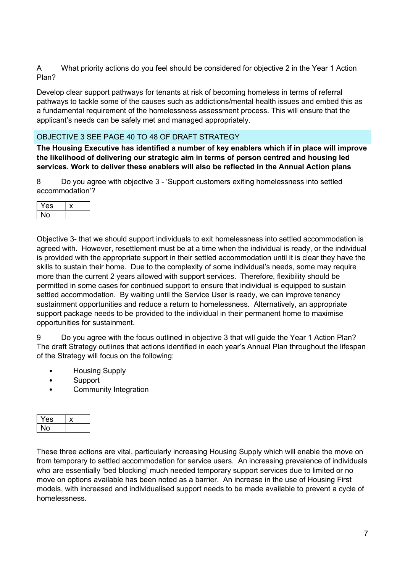A What priority actions do you feel should be considered for objective 2 in the Year 1 Action Plan?

Develop clear support pathways for tenants at risk of becoming homeless in terms of referral pathways to tackle some of the causes such as addictions/mental health issues and embed this as a fundamental requirement of the homelessness assessment process. This will ensure that the applicant's needs can be safely met and managed appropriately.

#### OBJECTIVE 3 SEE PAGE 40 TO 48 OF DRAFT STRATEGY

The Housing Executive has identified a number of key enablers which if in place will improve the likelihood of delivering our strategic aim in terms of person centred and housing led services. Work to deliver these enablers will also be reflected in the Annual Action plans

8 Do you agree with objective 3 - 'Support customers exiting homelessness into settled accommodation'?

| -<br>:S<br>– |  |
|--------------|--|
|              |  |

Objective 3- that we should support individuals to exit homelessness into settled accommodation is agreed with. However, resettlement must be at a time when the individual is ready, or the individual is provided with the appropriate support in their settled accommodation until it is clear they have the skills to sustain their home. Due to the complexity of some individual's needs, some may require more than the current 2 years allowed with support services. Therefore, flexibility should be permitted in some cases for continued support to ensure that individual is equipped to sustain settled accommodation. By waiting until the Service User is ready, we can improve tenancy sustainment opportunities and reduce a return to homelessness. Alternatively, an appropriate support package needs to be provided to the individual in their permanent home to maximise opportunities for sustainment.

9 Do you agree with the focus outlined in objective 3 that will guide the Year 1 Action Plan? The draft Strategy outlines that actions identified in each year's Annual Plan throughout the lifespan of the Strategy will focus on the following:

- Housing Supply
- **Support**
- Community Integration

| :S |  |
|----|--|
|    |  |

These three actions are vital, particularly increasing Housing Supply which will enable the move on from temporary to settled accommodation for service users. An increasing prevalence of individuals who are essentially 'bed blocking' much needed temporary support services due to limited or no move on options available has been noted as a barrier. An increase in the use of Housing First models, with increased and individualised support needs to be made available to prevent a cycle of homelessness.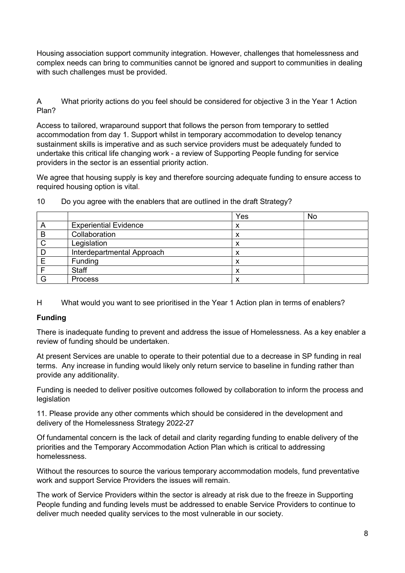Housing association support community integration. However, challenges that homelessness and complex needs can bring to communities cannot be ignored and support to communities in dealing with such challenges must be provided.

A What priority actions do you feel should be considered for objective 3 in the Year 1 Action Plan?

Access to tailored, wraparound support that follows the person from temporary to settled accommodation from day 1. Support whilst in temporary accommodation to develop tenancy sustainment skills is imperative and as such service providers must be adequately funded to undertake this critical life changing work - a review of Supporting People funding for service providers in the sector is an essential priority action.

We agree that housing supply is key and therefore sourcing adequate funding to ensure access to required housing option is vital.

|   |                              | Yes | No |
|---|------------------------------|-----|----|
| A | <b>Experiential Evidence</b> | х   |    |
| B | Collaboration                | ́   |    |
| C | Legislation                  | ́   |    |
| D | Interdepartmental Approach   | ́   |    |
|   | Funding                      |     |    |
|   | <b>Staff</b>                 |     |    |
| G | <b>Process</b>               |     |    |

10 Do you agree with the enablers that are outlined in the draft Strategy?

H What would you want to see prioritised in the Year 1 Action plan in terms of enablers?

#### Funding

There is inadequate funding to prevent and address the issue of Homelessness. As a key enabler a review of funding should be undertaken.

At present Services are unable to operate to their potential due to a decrease in SP funding in real terms. Any increase in funding would likely only return service to baseline in funding rather than provide any additionality.

Funding is needed to deliver positive outcomes followed by collaboration to inform the process and legislation

11. Please provide any other comments which should be considered in the development and delivery of the Homelessness Strategy 2022-27

Of fundamental concern is the lack of detail and clarity regarding funding to enable delivery of the priorities and the Temporary Accommodation Action Plan which is critical to addressing homelessness.

Without the resources to source the various temporary accommodation models, fund preventative work and support Service Providers the issues will remain.

The work of Service Providers within the sector is already at risk due to the freeze in Supporting People funding and funding levels must be addressed to enable Service Providers to continue to deliver much needed quality services to the most vulnerable in our society.